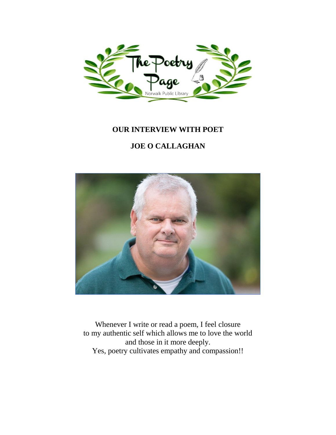

### **OUR INTERVIEW WITH POET**

## **JOE O CALLAGHAN**



Whenever I write or read a poem, I feel closure to my authentic self which allows me to love the world and those in it more deeply. Yes, poetry cultivates empathy and compassion!!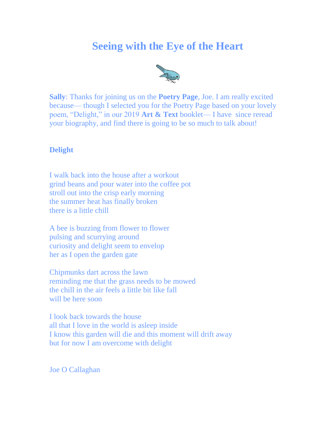# **Seeing with the Eye of the Heart**



**Sally**: Thanks for joining us on the **Poetry Page**, Joe. I am really excited because— though I selected you for the Poetry Page based on your lovely poem, "Delight," in our 2019 **Art & Text** booklet— I have since reread your biography, and find there is going to be so much to talk about!

### **Delight**

I walk back into the house after a workout grind beans and pour water into the coffee pot stroll out into the crisp early morning the summer heat has finally broken there is a little chill

A bee is buzzing from flower to flower pulsing and scurrying around curiosity and delight seem to envelop her as I open the garden gate

Chipmunks dart across the lawn reminding me that the grass needs to be mowed the chill in the air feels a little bit like fall will be here soon

I look back towards the house all that I love in the world is asleep inside I know this garden will die and this moment will drift away but for now I am overcome with delight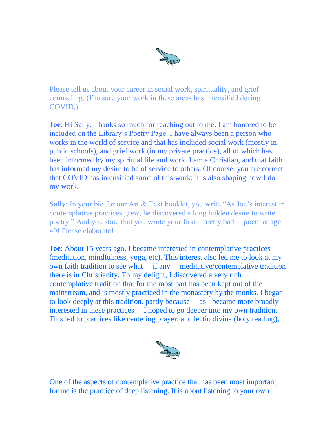

Please tell us about your career in social work, spirituality, and grief counseling. (I'm sure your work in these areas has intensified during COVID.)

**Joe**: Hi Sally, Thanks so much for reaching out to me. I am honored to be included on the Library's Poetry Page. I have always been a person who works in the world of service and that has included social work (mostly in public schools), and grief work (in my private practice), all of which has been informed by my spiritual life and work. I am a Christian, and that faith has informed my desire to be of service to others. Of course, you are correct that COVID has intensified some of this work; it is also shaping how I do my work.

**Sally**: In your bio for our Art & Text booklet, you write "As Joe's interest in contemplative practices grew, he discovered a long hidden desire to write poetry." And you state that you wrote your first—pretty bad— poem at age 40! Please elaborate!

**Joe**: About 15 years ago, I became interested in contemplative practices (meditation, mindfulness, yoga, etc). This interest also led me to look at my own faith tradition to see what— if any— meditative/contemplative tradition there is in Christianity. To my delight, I discovered a very rich contemplative tradition that for the most part has been kept out of the mainstream, and is mostly practiced in the monastery by the monks. I began to look deeply at this tradition, partly because— as I became more broadly interested in these practices— I hoped to go deeper into my own tradition. This led to practices like centering prayer, and lectio divina (holy reading).



One of the aspects of contemplative practice that has been most important for me is the practice of deep listening. It is about listening to your own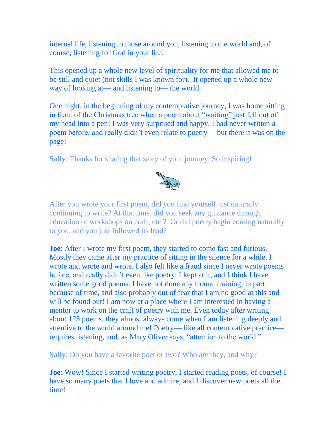internal life, listening to those around you, listening to the world and, of course, listening for God in your life.

This opened up a whole new level of spirituality for me that allowed me to be still and quiet (not skills I was known for). It opened up a whole new way of looking at— and listening to— the world.

One night, in the beginning of my contemplative journey, I was home sitting in front of the Christmas tree when a poem about "waiting" just fell out of my head into a pen! I was very surprised and happy. I had never written a poem before, and really didn't even relate to poetry— but there it was on the page!

**Sally**: Thanks for sharing that story of your journey. So inspiring!



After you wrote your first poem, did you find yourself just naturally continuing to write? At that time, did you seek any guidance through education or workshops on craft, etc.? Or did poetry begin coming naturally to you, and you just followed its lead?

**Joe**: After I wrote my first poem, they started to come fast and furious. Mostly they came after my practice of sitting in the silence for a while. I wrote and wrote and wrote. I also felt like a fraud since I never wrote poems before, and really didn't even like poetry. I kept at it, and I think I have written some good poems. I have not done any formal training; in part, because of time, and also probably out of fear that I am no good at this and will be found out! I am now at a place where I am interested in having a mentor to work on the craft of poetry with me. Even today after writing about 125 poems, they almost always come when I am listening deeply and attentive to the world around me! Poetry— like all contemplative practice requires listening, and, as Mary Oliver says, "attention to the world."

**Sally**: Do you have a favorite poet or two? Who are they, and why?

**Joe**: Wow! Since I started writing poetry, I started reading poets, of course! I have so many poets that I love and admire, and I discover new poets all the time!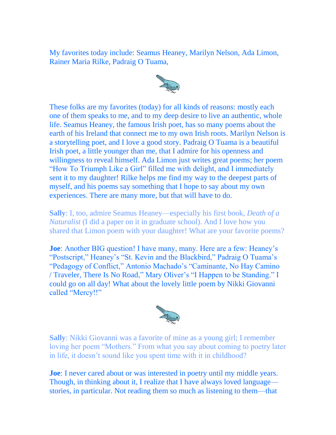My favorites today include: Seamus Heaney, Marilyn Nelson, Ada Limon, Rainer Maria Rilke, Padraig O Tuama,



These folks are my favorites (today) for all kinds of reasons: mostly each one of them speaks to me, and to my deep desire to live an authentic, whole life. Seamus Heaney, the famous Irish poet, has so many poems about the earth of his Ireland that connect me to my own Irish roots. Marilyn Nelson is a storytelling poet, and I love a good story. Padraig O Tuama is a beautiful Irish poet, a little younger than me, that I admire for his openness and willingness to reveal himself. Ada Limon just writes great poems; her poem "How To Triumph Like a Girl" filled me with delight, and I immediately sent it to my daughter! Rilke helps me find my way to the deepest parts of myself, and his poems say something that I hope to say about my own experiences. There are many more, but that will have to do.

**Sally**: I, too, admire Seamus Heaney—especially his first book, *Death of a Naturalist* (I did a paper on it in graduate school). And I love how you shared that Limon poem with your daughter! What are your favorite poems?

**Joe**: Another BIG question! I have many, many. Here are a few: Heaney's "Postscript," Heaney's "St. Kevin and the Blackbird," Padraig O Tuama's "Pedagogy of Conflict," Antonio Machado's "Caminante, No Hay Camino / Traveler, There Is No Road," Mary Oliver's "I Happen to be Standing." I could go on all day! What about the lovely little poem by Nikki Giovanni called "Mercy!!"



**Sally**: Nikki Giovanni was a favorite of mine as a young girl; I remember loving her poem "Mothers." From what you say about coming to poetry later in life, it doesn't sound like you spent time with it in childhood?

**Joe**: I never cared about or was interested in poetry until my middle years. Though, in thinking about it, I realize that I have always loved language stories, in particular. Not reading them so much as listening to them—that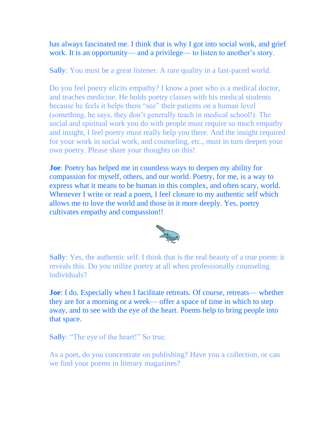has always fascinated me. I think that is why I got into social work, and grief work. It is an opportunity— and a privilege— to listen to another's story.

**Sally**: You must be a great listener. A rare quality in a fast-paced world.

Do you feel poetry elicits empathy? I know a poet who is a medical doctor, and teaches medicine. He holds poetry classes with his medical students because he feels it helps them "see" their patients on a human level (something, he says, they don't generally teach in medical school!). The social and spiritual work you do with people must require so much empathy and insight, I feel poetry must really help you there. And the insight required for your work in social work, and counseling, etc., must in turn deepen your own poetry. Please share your thoughts on this!

**Joe**: Poetry has helped me in countless ways to deepen my ability for compassion for myself, others, and our world. Poetry, for me, is a way to express what it means to be human in this complex, and often scary, world. Whenever I write or read a poem, I feel closure to my authentic self which allows me to love the world and those in it more deeply. Yes, poetry cultivates empathy and compassion!!



**Sally**: Yes, the authentic self. I think that is the real beauty of a true poem: it reveals this. Do you utilize poetry at all when professionally counseling individuals?

**Joe**: I do. Especially when I facilitate retreats. Of course, retreats— whether they are for a morning or a week— offer a space of time in which to step away, and to see with the eye of the heart. Poems help to bring people into that space.

**Sally**: "The eye of the heart!" So true.

As a poet, do you concentrate on publishing? Have you a collection, or can we find your poems in literary magazines?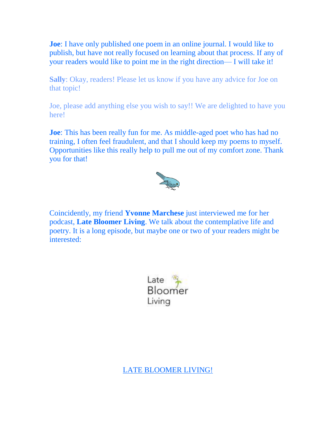**Joe**: I have only published one poem in an online journal. I would like to publish, but have not really focused on learning about that process. If any of your readers would like to point me in the right direction— I will take it!

**Sally**: Okay, readers! Please let us know if you have any advice for Joe on that topic!

Joe, please add anything else you wish to say!! We are delighted to have you here!

**Joe**: This has been really fun for me. As middle-aged poet who has had no training, I often feel fraudulent, and that I should keep my poems to myself. Opportunities like this really help to pull me out of my comfort zone. Thank you for that!



Coincidently, my friend **Yvonne Marchese** just interviewed me for her podcast, **Late Bloomer Living**. We talk about the contemplative life and poetry. It is a long episode, but maybe one or two of your readers might be interested:

> Late Bloomer Living

[LATE BLOOMER LIVING!](https://latebloomerliving.podbean.com/e/ep-14-joe-ocallaghan-i-too-can-stretch-and-let-myself-be-open/)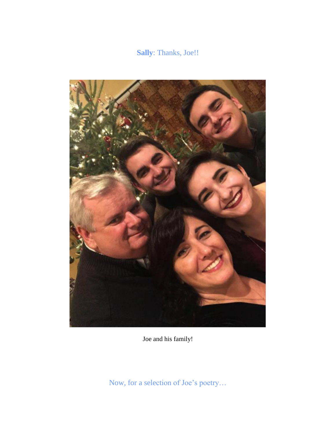## **Sally**: Thanks, Joe!!



Joe and his family!

Now, for a selection of Joe's poetry…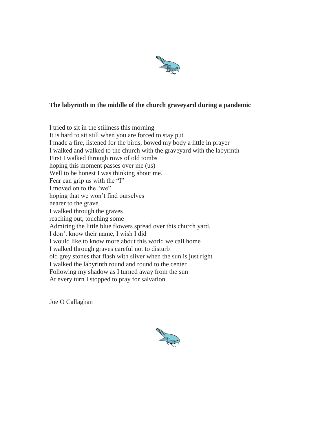

### **The labyrinth in the middle of the church graveyard during a pandemic**

I tried to sit in the stillness this morning It is hard to sit still when you are forced to stay put I made a fire, listened for the birds, bowed my body a little in prayer I walked and walked to the church with the graveyard with the labyrinth First I walked through rows of old tombs hoping this moment passes over me (us) Well to be honest I was thinking about me. Fear can grip us with the "I" I moved on to the "we" hoping that we won't find ourselves nearer to the grave. I walked through the graves reaching out, touching some Admiring the little blue flowers spread over this church yard. I don't know their name, I wish I did I would like to know more about this world we call home I walked through graves careful not to disturb old grey stones that flash with sliver when the sun is just right I walked the labyrinth round and round to the center Following my shadow as I turned away from the sun At every turn I stopped to pray for salvation.

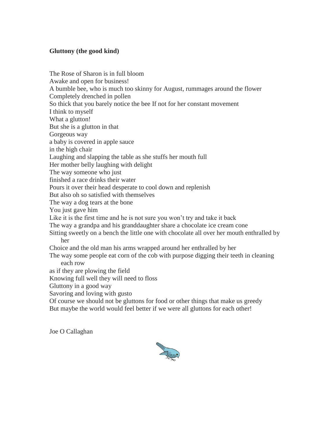### **Gluttony (the good kind)**

The Rose of Sharon is in full bloom Awake and open for business! A bumble bee, who is much too skinny for August, rummages around the flower Completely drenched in pollen So thick that you barely notice the bee If not for her constant movement I think to myself What a glutton! But she is a glutton in that Gorgeous way a baby is covered in apple sauce in the high chair Laughing and slapping the table as she stuffs her mouth full Her mother belly laughing with delight The way someone who just finished a race drinks their water Pours it over their head desperate to cool down and replenish But also oh so satisfied with themselves The way a dog tears at the bone You just gave him Like it is the first time and he is not sure you won't try and take it back The way a grandpa and his granddaughter share a chocolate ice cream cone Sitting sweetly on a bench the little one with chocolate all over her mouth enthralled by her Choice and the old man his arms wrapped around her enthralled by her The way some people eat corn of the cob with purpose digging their teeth in cleaning each row as if they are plowing the field Knowing full well they will need to floss Gluttony in a good way Savoring and loving with gusto Of course we should not be gluttons for food or other things that make us greedy But maybe the world would feel better if we were all gluttons for each other!